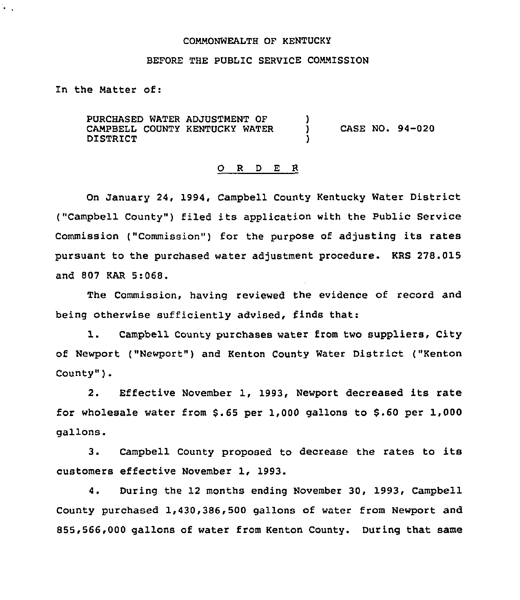#### COMMONWEALTH OF KENTUCKY

## BEFORE THE PUBLIC SERVICE COMMISSION

In the Natter of:

 $\ddot{\cdot}$  .

PURCHASED WATER ADJUSTMENT OF CAMPBELL COUNTY KENTUCKY WATER DISTRICT )<br>) ) CASE NO. 94-020 )

#### 0 <sup>R</sup> <sup>D</sup> E <sup>R</sup>

On January 24, 1994, Campbell County Kentucky Water District ("Campbell County") filed its application with the Public Service Commission ("Commission") for the purpose of adjusting its rates pursuant to the purchased water adjustment procedure. KRS 278.015 and 807 KAR 5:068.

The Commission, having reviewed the evidence of record and being otherwise sufficiently advised, finds that:

1. Campbell County purchases water from two suppliers, City of Newport ("Newport") and Kenton County Water District ("Kenton County" ).

2. Effective November 1, 1993, Newport decreased its rate for wholesale water from  $$.65$  per 1,000 gallons to  $$.60$  per 1,000 gallons.

3. Campbell County proposed to decrease the rates to its customers effective November 1, 1993.

4. During the 12 months ending November 30, 1993, Campbell County purchased 1,430,386,500 gallons of water from Newport and 855,566,000 gallons of water from Kenton County. During that same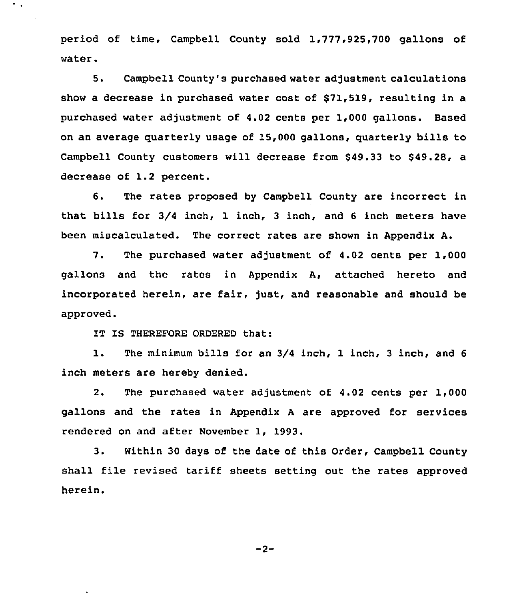period of time, Campbell County sold 1,777,925,700 gallons of water.

5. Campbell County's purchased water adjustment calculations show a decrease in purchased water cost of \$71,519, resulting in a purchased water adjustment of 4.02 cents per 1,000 gallons. Based on an average quarterly usage of 15,000 gallons, quarterly bills to Campbell County customers will decrease from \$49.33 to \$49.28, a decrease of 1.2 percent.

6. The rates proposed by Campbell County are incorrect in that bills for 3/4 inch, 1 inch, <sup>3</sup> inch, and <sup>6</sup> inch meters have been miscalculated. The correct rates are shown in Appendix A.

7. The purchased water adjustment of 4.02 cents per 1,000 gallons and the rates in Appendix A, attached hereto and incorporated herein, are fair, just, and reasonable and should be approved.

IT IS THEREFORE ORDERED that:

 $\ddot{\phantom{a}}$ 

1. The minimum bills for an 3/4 inch, <sup>1</sup> inch, <sup>3</sup> inch, and <sup>6</sup> inch meters are hereby denied.

2. The purchased water adjustment of 4.02 cents per 1,000 gallons and the rates in Appendix <sup>A</sup> are approved for services rendered on and after November 1, 1993.

3. Within 30 days of the date of this Order, Campbell County shall file revised tariff sheets setting out the rates approved herein.

 $-2-$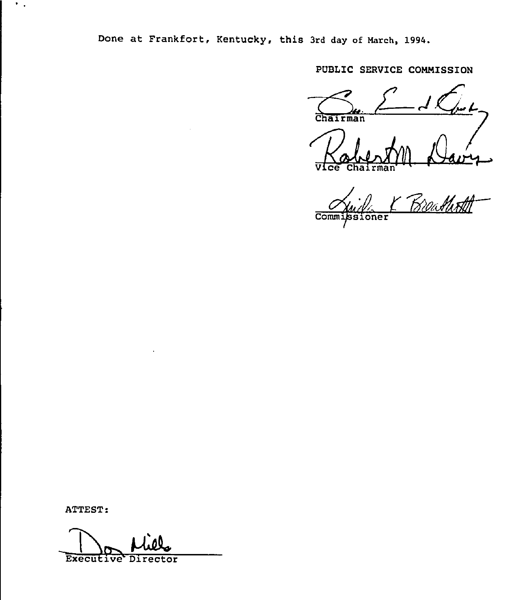Done at Frankfort, Kentucky, this 3rd day of March, 1994.

PUBLIC SERVICE COMMISSION

Chairman /<br>~

Kabeson B Vice

 $\epsilon$  control  $\eta$  $Comm$ oner

ATTEST:

 $\mathcal{F}_{\mathcal{A},\mathcal{A}}$ 

Executive Director